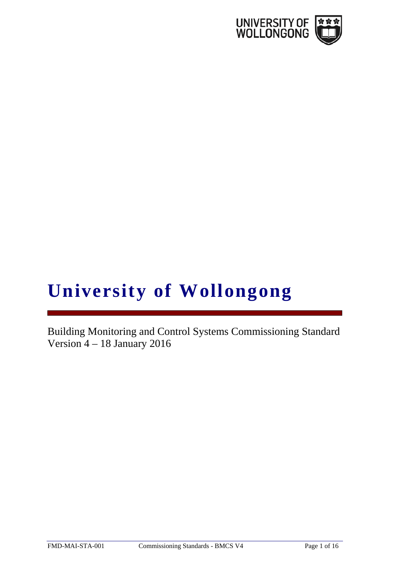

# **University of Wollongong**

Building Monitoring and Control Systems Commissioning Standard Version 4 – 18 January 2016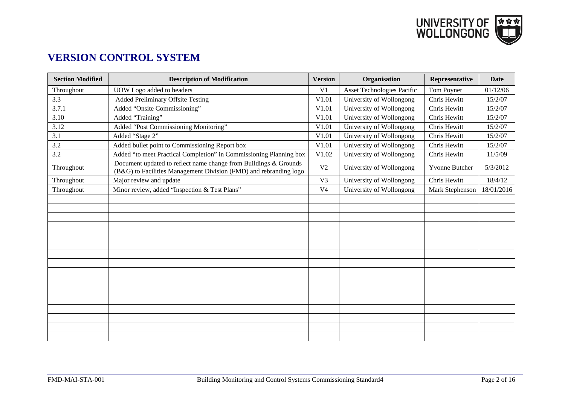

# **VERSION CONTROL SYSTEM**

| <b>Section Modified</b> | <b>Description of Modification</b>                                                                                                    | <b>Version</b> | Organisation               | Representative  | Date       |
|-------------------------|---------------------------------------------------------------------------------------------------------------------------------------|----------------|----------------------------|-----------------|------------|
| Throughout              | UOW Logo added to headers                                                                                                             | V <sub>1</sub> | Asset Technologies Pacific | Tom Poyner      | 01/12/06   |
| 3.3                     | <b>Added Preliminary Offsite Testing</b>                                                                                              | V1.01          | University of Wollongong   | Chris Hewitt    | 15/2/07    |
| 3.7.1                   | Added "Onsite Commissioning"                                                                                                          | V1.01          | University of Wollongong   | Chris Hewitt    | 15/2/07    |
| 3.10                    | Added "Training"                                                                                                                      | V1.01          | University of Wollongong   | Chris Hewitt    | 15/2/07    |
| 3.12                    | Added "Post Commissioning Monitoring"                                                                                                 | V1.01          | University of Wollongong   | Chris Hewitt    | 15/2/07    |
| 3.1                     | Added "Stage 2"                                                                                                                       | V1.01          | University of Wollongong   | Chris Hewitt    | 15/2/07    |
| 3.2                     | Added bullet point to Commissioning Report box                                                                                        | V1.01          | University of Wollongong   | Chris Hewitt    | 15/2/07    |
| 3.2                     | Added "to meet Practical Completion" in Commissioning Planning box                                                                    | V1.02          | University of Wollongong   | Chris Hewitt    | 11/5/09    |
| Throughout              | Document updated to reflect name change from Buildings & Grounds<br>(B&G) to Facilities Management Division (FMD) and rebranding logo | V <sub>2</sub> | University of Wollongong   | Yvonne Butcher  | 5/3/2012   |
| Throughout              | Major review and update                                                                                                               | V <sub>3</sub> | University of Wollongong   | Chris Hewitt    | 18/4/12    |
| Throughout              | Minor review, added "Inspection & Test Plans"                                                                                         | V <sub>4</sub> | University of Wollongong   | Mark Stephenson | 18/01/2016 |
|                         |                                                                                                                                       |                |                            |                 |            |
|                         |                                                                                                                                       |                |                            |                 |            |
|                         |                                                                                                                                       |                |                            |                 |            |
|                         |                                                                                                                                       |                |                            |                 |            |
|                         |                                                                                                                                       |                |                            |                 |            |
|                         |                                                                                                                                       |                |                            |                 |            |
|                         |                                                                                                                                       |                |                            |                 |            |
|                         |                                                                                                                                       |                |                            |                 |            |
|                         |                                                                                                                                       |                |                            |                 |            |
|                         |                                                                                                                                       |                |                            |                 |            |
|                         |                                                                                                                                       |                |                            |                 |            |
|                         |                                                                                                                                       |                |                            |                 |            |
|                         |                                                                                                                                       |                |                            |                 |            |
|                         |                                                                                                                                       |                |                            |                 |            |
|                         |                                                                                                                                       |                |                            |                 |            |
|                         |                                                                                                                                       |                |                            |                 |            |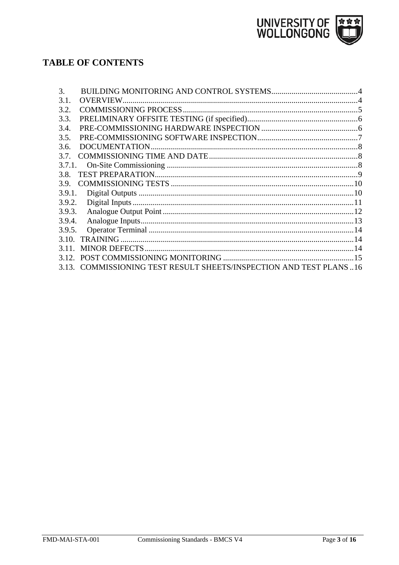

# **TABLE OF CONTENTS**

| 3.     |                                                                     |  |
|--------|---------------------------------------------------------------------|--|
| 3.1.   |                                                                     |  |
| 3.2.   |                                                                     |  |
| 3.3.   |                                                                     |  |
| 3.4.   |                                                                     |  |
| 3.5.   |                                                                     |  |
| 3.6.   |                                                                     |  |
| 3.7.   |                                                                     |  |
|        |                                                                     |  |
| 3.8.   |                                                                     |  |
| 3.9.   |                                                                     |  |
| 3.9.1. |                                                                     |  |
| 3.9.2. |                                                                     |  |
| 3.9.3. |                                                                     |  |
| 3.9.4. |                                                                     |  |
| 3.9.5. |                                                                     |  |
| 3.10.  |                                                                     |  |
| 3.11   |                                                                     |  |
| 3.12.  |                                                                     |  |
|        | 3.13. COMMISSIONING TEST RESULT SHEETS/INSPECTION AND TEST PLANS 16 |  |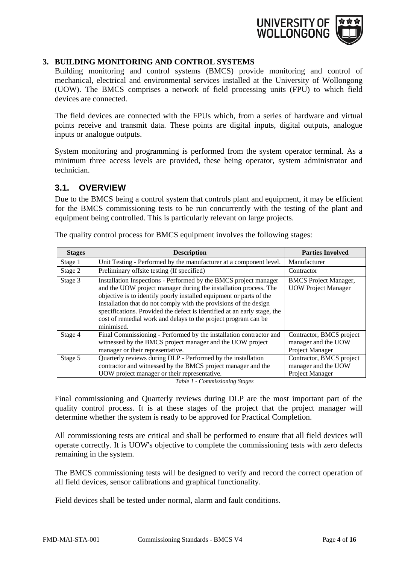

#### <span id="page-3-0"></span>**3. BUILDING MONITORING AND CONTROL SYSTEMS**

Building monitoring and control systems (BMCS) provide monitoring and control of mechanical, electrical and environmental services installed at the University of Wollongong (UOW). The BMCS comprises a network of field processing units (FPU) to which field devices are connected.

The field devices are connected with the FPUs which, from a series of hardware and virtual points receive and transmit data. These points are digital inputs, digital outputs, analogue inputs or analogue outputs.

System monitoring and programming is performed from the system operator terminal. As a minimum three access levels are provided, these being operator, system administrator and technician.

#### <span id="page-3-1"></span>**3.1. OVERVIEW**

Due to the BMCS being a control system that controls plant and equipment, it may be efficient for the BMCS commissioning tests to be run concurrently with the testing of the plant and equipment being controlled. This is particularly relevant on large projects.

| <b>Stages</b> | <b>Description</b>                                                                                                                                                                                                                                                                                                                                                                                                                           | <b>Parties Involved</b>                                                   |  |
|---------------|----------------------------------------------------------------------------------------------------------------------------------------------------------------------------------------------------------------------------------------------------------------------------------------------------------------------------------------------------------------------------------------------------------------------------------------------|---------------------------------------------------------------------------|--|
| Stage 1       | Unit Testing - Performed by the manufacturer at a component level.                                                                                                                                                                                                                                                                                                                                                                           | Manufacturer                                                              |  |
| Stage 2       | Preliminary offsite testing (If specified)                                                                                                                                                                                                                                                                                                                                                                                                   | Contractor                                                                |  |
| Stage 3       | Installation Inspections - Performed by the BMCS project manager<br>and the UOW project manager during the installation process. The<br>objective is to identify poorly installed equipment or parts of the<br>installation that do not comply with the provisions of the design<br>specifications. Provided the defect is identified at an early stage, the<br>cost of remedial work and delays to the project program can be<br>minimised. | <b>BMCS</b> Project Manager,<br><b>UOW Project Manager</b>                |  |
| Stage 4       | Final Commissioning - Performed by the installation contractor and<br>witnessed by the BMCS project manager and the UOW project<br>manager or their representative.                                                                                                                                                                                                                                                                          | Contractor, BMCS project<br>manager and the UOW<br><b>Project Manager</b> |  |
| Stage 5       | Quarterly reviews during DLP - Performed by the installation<br>contractor and witnessed by the BMCS project manager and the<br>UOW project manager or their representative.                                                                                                                                                                                                                                                                 | Contractor, BMCS project<br>manager and the UOW<br>Project Manager        |  |

The quality control process for BMCS equipment involves the following stages:

*Table 1 - Commissioning Stages*

Final commissioning and Quarterly reviews during DLP are the most important part of the quality control process. It is at these stages of the project that the project manager will determine whether the system is ready to be approved for Practical Completion.

All commissioning tests are critical and shall be performed to ensure that all field devices will operate correctly. It is UOW's objective to complete the commissioning tests with zero defects remaining in the system.

The BMCS commissioning tests will be designed to verify and record the correct operation of all field devices, sensor calibrations and graphical functionality.

Field devices shall be tested under normal, alarm and fault conditions.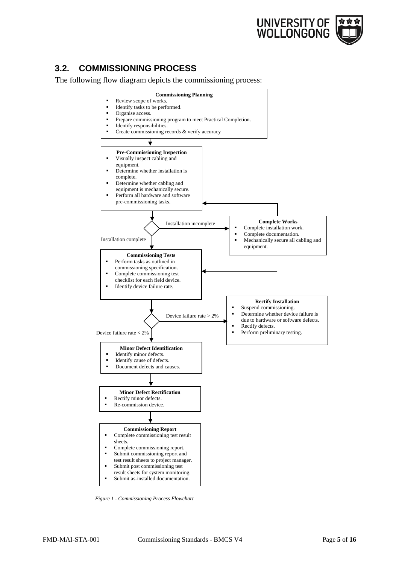

## <span id="page-4-0"></span>**3.2. COMMISSIONING PROCESS**

The following flow diagram depicts the commissioning process:



*Figure 1 - Commissioning Process Flowchart*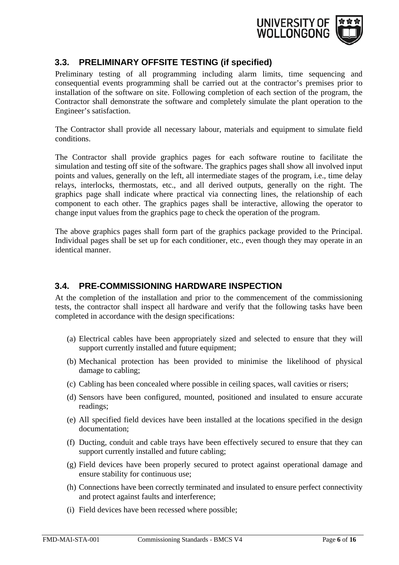

## <span id="page-5-0"></span>**3.3. PRELIMINARY OFFSITE TESTING (if specified)**

Preliminary testing of all programming including alarm limits, time sequencing and consequential events programming shall be carried out at the contractor's premises prior to installation of the software on site. Following completion of each section of the program, the Contractor shall demonstrate the software and completely simulate the plant operation to the Engineer's satisfaction.

The Contractor shall provide all necessary labour, materials and equipment to simulate field conditions.

The Contractor shall provide graphics pages for each software routine to facilitate the simulation and testing off site of the software. The graphics pages shall show all involved input points and values, generally on the left, all intermediate stages of the program, i.e., time delay relays, interlocks, thermostats, etc., and all derived outputs, generally on the right. The graphics page shall indicate where practical via connecting lines, the relationship of each component to each other. The graphics pages shall be interactive, allowing the operator to change input values from the graphics page to check the operation of the program.

The above graphics pages shall form part of the graphics package provided to the Principal. Individual pages shall be set up for each conditioner, etc., even though they may operate in an identical manner.

## <span id="page-5-1"></span>**3.4. PRE-COMMISSIONING HARDWARE INSPECTION**

At the completion of the installation and prior to the commencement of the commissioning tests, the contractor shall inspect all hardware and verify that the following tasks have been completed in accordance with the design specifications:

- (a) Electrical cables have been appropriately sized and selected to ensure that they will support currently installed and future equipment;
- (b) Mechanical protection has been provided to minimise the likelihood of physical damage to cabling;
- (c) Cabling has been concealed where possible in ceiling spaces, wall cavities or risers;
- (d) Sensors have been configured, mounted, positioned and insulated to ensure accurate readings;
- (e) All specified field devices have been installed at the locations specified in the design documentation;
- (f) Ducting, conduit and cable trays have been effectively secured to ensure that they can support currently installed and future cabling;
- (g) Field devices have been properly secured to protect against operational damage and ensure stability for continuous use;
- (h) Connections have been correctly terminated and insulated to ensure perfect connectivity and protect against faults and interference;
- (i) Field devices have been recessed where possible;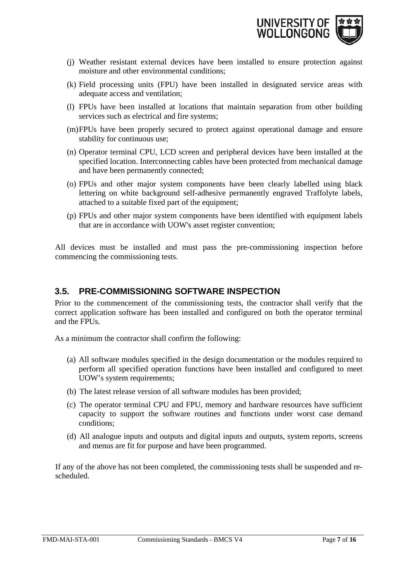

- (j) Weather resistant external devices have been installed to ensure protection against moisture and other environmental conditions;
- (k) Field processing units (FPU) have been installed in designated service areas with adequate access and ventilation;
- (l) FPUs have been installed at locations that maintain separation from other building services such as electrical and fire systems;
- (m)FPUs have been properly secured to protect against operational damage and ensure stability for continuous use;
- (n) Operator terminal CPU, LCD screen and peripheral devices have been installed at the specified location. Interconnecting cables have been protected from mechanical damage and have been permanently connected;
- (o) FPUs and other major system components have been clearly labelled using black lettering on white background self-adhesive permanently engraved Traffolyte labels, attached to a suitable fixed part of the equipment;
- (p) FPUs and other major system components have been identified with equipment labels that are in accordance with UOW's asset register convention;

All devices must be installed and must pass the pre-commissioning inspection before commencing the commissioning tests.

### <span id="page-6-0"></span>**3.5. PRE-COMMISSIONING SOFTWARE INSPECTION**

Prior to the commencement of the commissioning tests, the contractor shall verify that the correct application software has been installed and configured on both the operator terminal and the FPUs.

As a minimum the contractor shall confirm the following:

- (a) All software modules specified in the design documentation or the modules required to perform all specified operation functions have been installed and configured to meet UOW's system requirements;
- (b) The latest release version of all software modules has been provided;
- (c) The operator terminal CPU and FPU, memory and hardware resources have sufficient capacity to support the software routines and functions under worst case demand conditions;
- (d) All analogue inputs and outputs and digital inputs and outputs, system reports, screens and menus are fit for purpose and have been programmed.

If any of the above has not been completed, the commissioning tests shall be suspended and rescheduled.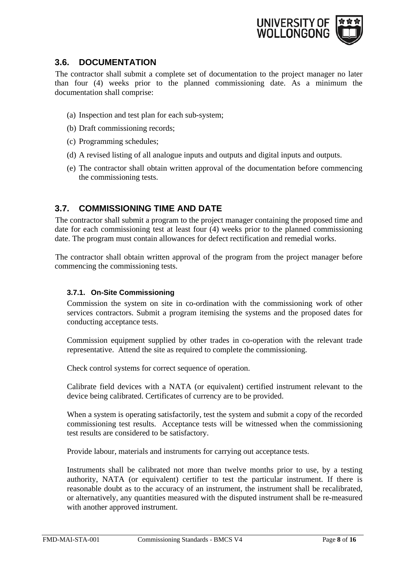

## <span id="page-7-0"></span>**3.6. DOCUMENTATION**

The contractor shall submit a complete set of documentation to the project manager no later than four (4) weeks prior to the planned commissioning date. As a minimum the documentation shall comprise:

- (a) Inspection and test plan for each sub-system;
- (b) Draft commissioning records;
- (c) Programming schedules;
- (d) A revised listing of all analogue inputs and outputs and digital inputs and outputs.
- (e) The contractor shall obtain written approval of the documentation before commencing the commissioning tests.

## <span id="page-7-1"></span>**3.7. COMMISSIONING TIME AND DATE**

The contractor shall submit a program to the project manager containing the proposed time and date for each commissioning test at least four (4) weeks prior to the planned commissioning date. The program must contain allowances for defect rectification and remedial works.

The contractor shall obtain written approval of the program from the project manager before commencing the commissioning tests.

#### <span id="page-7-2"></span>**3.7.1. On-Site Commissioning**

Commission the system on site in co-ordination with the commissioning work of other services contractors. Submit a program itemising the systems and the proposed dates for conducting acceptance tests.

Commission equipment supplied by other trades in co-operation with the relevant trade representative. Attend the site as required to complete the commissioning.

Check control systems for correct sequence of operation.

Calibrate field devices with a NATA (or equivalent) certified instrument relevant to the device being calibrated. Certificates of currency are to be provided.

When a system is operating satisfactorily, test the system and submit a copy of the recorded commissioning test results. Acceptance tests will be witnessed when the commissioning test results are considered to be satisfactory.

Provide labour, materials and instruments for carrying out acceptance tests.

Instruments shall be calibrated not more than twelve months prior to use, by a testing authority, NATA (or equivalent) certifier to test the particular instrument. If there is reasonable doubt as to the accuracy of an instrument, the instrument shall be recalibrated, or alternatively, any quantities measured with the disputed instrument shall be re-measured with another approved instrument.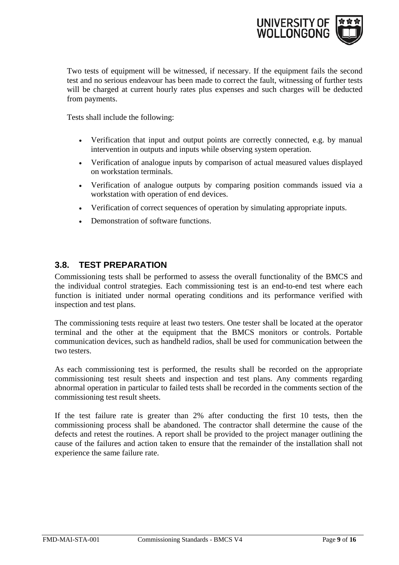

Two tests of equipment will be witnessed, if necessary. If the equipment fails the second test and no serious endeavour has been made to correct the fault, witnessing of further tests will be charged at current hourly rates plus expenses and such charges will be deducted from payments.

Tests shall include the following:

- Verification that input and output points are correctly connected, e.g. by manual intervention in outputs and inputs while observing system operation.
- Verification of analogue inputs by comparison of actual measured values displayed on workstation terminals.
- Verification of analogue outputs by comparing position commands issued via a workstation with operation of end devices.
- Verification of correct sequences of operation by simulating appropriate inputs.
- Demonstration of software functions.

## <span id="page-8-0"></span>**3.8. TEST PREPARATION**

Commissioning tests shall be performed to assess the overall functionality of the BMCS and the individual control strategies. Each commissioning test is an end-to-end test where each function is initiated under normal operating conditions and its performance verified with inspection and test plans.

The commissioning tests require at least two testers. One tester shall be located at the operator terminal and the other at the equipment that the BMCS monitors or controls. Portable communication devices, such as handheld radios, shall be used for communication between the two testers.

As each commissioning test is performed, the results shall be recorded on the appropriate commissioning test result sheets and inspection and test plans. Any comments regarding abnormal operation in particular to failed tests shall be recorded in the comments section of the commissioning test result sheets.

If the test failure rate is greater than 2% after conducting the first 10 tests, then the commissioning process shall be abandoned. The contractor shall determine the cause of the defects and retest the routines. A report shall be provided to the project manager outlining the cause of the failures and action taken to ensure that the remainder of the installation shall not experience the same failure rate.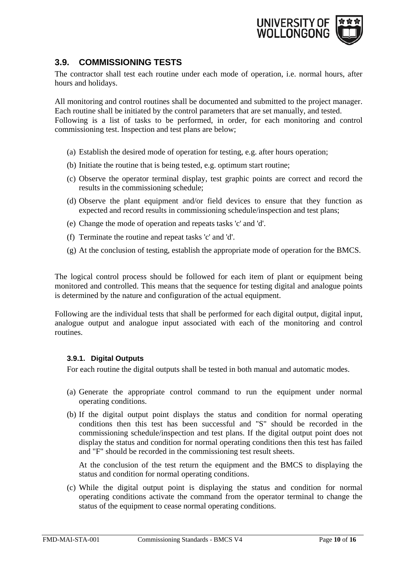

## <span id="page-9-0"></span>**3.9. COMMISSIONING TESTS**

The contractor shall test each routine under each mode of operation, i.e. normal hours, after hours and holidays.

All monitoring and control routines shall be documented and submitted to the project manager. Each routine shall be initiated by the control parameters that are set manually, and tested. Following is a list of tasks to be performed, in order, for each monitoring and control commissioning test. Inspection and test plans are below;

- (a) Establish the desired mode of operation for testing, e.g. after hours operation;
- (b) Initiate the routine that is being tested, e.g. optimum start routine;
- (c) Observe the operator terminal display, test graphic points are correct and record the results in the commissioning schedule;
- (d) Observe the plant equipment and/or field devices to ensure that they function as expected and record results in commissioning schedule/inspection and test plans;
- (e) Change the mode of operation and repeats tasks 'c' and 'd'.
- (f) Terminate the routine and repeat tasks 'c' and 'd'.
- (g) At the conclusion of testing, establish the appropriate mode of operation for the BMCS.

The logical control process should be followed for each item of plant or equipment being monitored and controlled. This means that the sequence for testing digital and analogue points is determined by the nature and configuration of the actual equipment.

Following are the individual tests that shall be performed for each digital output, digital input, analogue output and analogue input associated with each of the monitoring and control routines.

#### <span id="page-9-1"></span>**3.9.1. Digital Outputs**

For each routine the digital outputs shall be tested in both manual and automatic modes.

- (a) Generate the appropriate control command to run the equipment under normal operating conditions.
- (b) If the digital output point displays the status and condition for normal operating conditions then this test has been successful and "S" should be recorded in the commissioning schedule/inspection and test plans. If the digital output point does not display the status and condition for normal operating conditions then this test has failed and "F" should be recorded in the commissioning test result sheets.

At the conclusion of the test return the equipment and the BMCS to displaying the status and condition for normal operating conditions.

(c) While the digital output point is displaying the status and condition for normal operating conditions activate the command from the operator terminal to change the status of the equipment to cease normal operating conditions.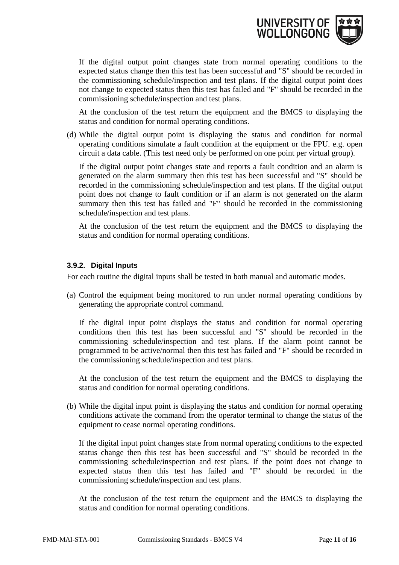

If the digital output point changes state from normal operating conditions to the expected status change then this test has been successful and "S" should be recorded in the commissioning schedule/inspection and test plans. If the digital output point does not change to expected status then this test has failed and "F" should be recorded in the commissioning schedule/inspection and test plans.

At the conclusion of the test return the equipment and the BMCS to displaying the status and condition for normal operating conditions.

(d) While the digital output point is displaying the status and condition for normal operating conditions simulate a fault condition at the equipment or the FPU. e.g. open circuit a data cable. (This test need only be performed on one point per virtual group).

If the digital output point changes state and reports a fault condition and an alarm is generated on the alarm summary then this test has been successful and "S" should be recorded in the commissioning schedule/inspection and test plans. If the digital output point does not change to fault condition or if an alarm is not generated on the alarm summary then this test has failed and "F" should be recorded in the commissioning schedule/inspection and test plans.

At the conclusion of the test return the equipment and the BMCS to displaying the status and condition for normal operating conditions.

#### <span id="page-10-0"></span>**3.9.2. Digital Inputs**

For each routine the digital inputs shall be tested in both manual and automatic modes.

(a) Control the equipment being monitored to run under normal operating conditions by generating the appropriate control command.

If the digital input point displays the status and condition for normal operating conditions then this test has been successful and "S" should be recorded in the commissioning schedule/inspection and test plans. If the alarm point cannot be programmed to be active/normal then this test has failed and "F" should be recorded in the commissioning schedule/inspection and test plans.

At the conclusion of the test return the equipment and the BMCS to displaying the status and condition for normal operating conditions.

(b) While the digital input point is displaying the status and condition for normal operating conditions activate the command from the operator terminal to change the status of the equipment to cease normal operating conditions.

If the digital input point changes state from normal operating conditions to the expected status change then this test has been successful and "S" should be recorded in the commissioning schedule/inspection and test plans. If the point does not change to expected status then this test has failed and "F" should be recorded in the commissioning schedule/inspection and test plans.

At the conclusion of the test return the equipment and the BMCS to displaying the status and condition for normal operating conditions.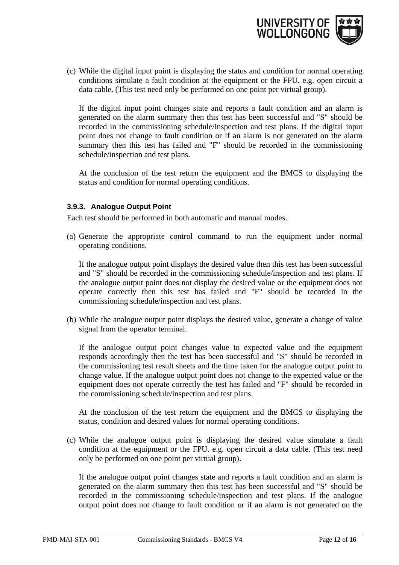

(c) While the digital input point is displaying the status and condition for normal operating conditions simulate a fault condition at the equipment or the FPU. e.g. open circuit a data cable. (This test need only be performed on one point per virtual group).

If the digital input point changes state and reports a fault condition and an alarm is generated on the alarm summary then this test has been successful and "S" should be recorded in the commissioning schedule/inspection and test plans. If the digital input point does not change to fault condition or if an alarm is not generated on the alarm summary then this test has failed and "F" should be recorded in the commissioning schedule/inspection and test plans.

At the conclusion of the test return the equipment and the BMCS to displaying the status and condition for normal operating conditions.

#### <span id="page-11-0"></span>**3.9.3. Analogue Output Point**

Each test should be performed in both automatic and manual modes.

(a) Generate the appropriate control command to run the equipment under normal operating conditions.

If the analogue output point displays the desired value then this test has been successful and "S" should be recorded in the commissioning schedule/inspection and test plans. If the analogue output point does not display the desired value or the equipment does not operate correctly then this test has failed and "F" should be recorded in the commissioning schedule/inspection and test plans.

(b) While the analogue output point displays the desired value, generate a change of value signal from the operator terminal.

If the analogue output point changes value to expected value and the equipment responds accordingly then the test has been successful and "S" should be recorded in the commissioning test result sheets and the time taken for the analogue output point to change value. If the analogue output point does not change to the expected value or the equipment does not operate correctly the test has failed and "F" should be recorded in the commissioning schedule/inspection and test plans.

At the conclusion of the test return the equipment and the BMCS to displaying the status, condition and desired values for normal operating conditions.

(c) While the analogue output point is displaying the desired value simulate a fault condition at the equipment or the FPU. e.g. open circuit a data cable. (This test need only be performed on one point per virtual group).

If the analogue output point changes state and reports a fault condition and an alarm is generated on the alarm summary then this test has been successful and "S" should be recorded in the commissioning schedule/inspection and test plans. If the analogue output point does not change to fault condition or if an alarm is not generated on the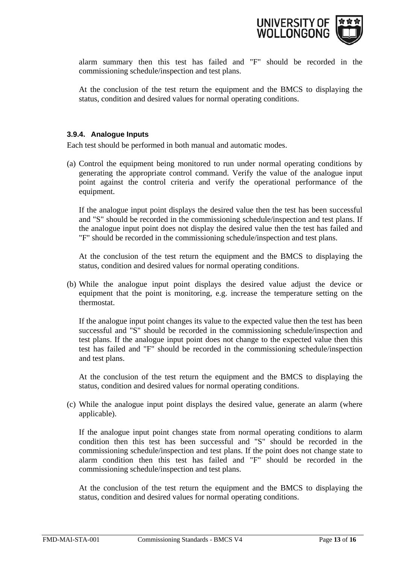

alarm summary then this test has failed and "F" should be recorded in the commissioning schedule/inspection and test plans.

At the conclusion of the test return the equipment and the BMCS to displaying the status, condition and desired values for normal operating conditions.

#### <span id="page-12-0"></span>**3.9.4. Analogue Inputs**

Each test should be performed in both manual and automatic modes.

(a) Control the equipment being monitored to run under normal operating conditions by generating the appropriate control command. Verify the value of the analogue input point against the control criteria and verify the operational performance of the equipment.

If the analogue input point displays the desired value then the test has been successful and "S" should be recorded in the commissioning schedule/inspection and test plans. If the analogue input point does not display the desired value then the test has failed and "F" should be recorded in the commissioning schedule/inspection and test plans.

At the conclusion of the test return the equipment and the BMCS to displaying the status, condition and desired values for normal operating conditions.

(b) While the analogue input point displays the desired value adjust the device or equipment that the point is monitoring, e.g. increase the temperature setting on the thermostat.

If the analogue input point changes its value to the expected value then the test has been successful and "S" should be recorded in the commissioning schedule/inspection and test plans. If the analogue input point does not change to the expected value then this test has failed and "F" should be recorded in the commissioning schedule/inspection and test plans.

At the conclusion of the test return the equipment and the BMCS to displaying the status, condition and desired values for normal operating conditions.

(c) While the analogue input point displays the desired value, generate an alarm (where applicable).

If the analogue input point changes state from normal operating conditions to alarm condition then this test has been successful and "S" should be recorded in the commissioning schedule/inspection and test plans. If the point does not change state to alarm condition then this test has failed and "F" should be recorded in the commissioning schedule/inspection and test plans.

At the conclusion of the test return the equipment and the BMCS to displaying the status, condition and desired values for normal operating conditions.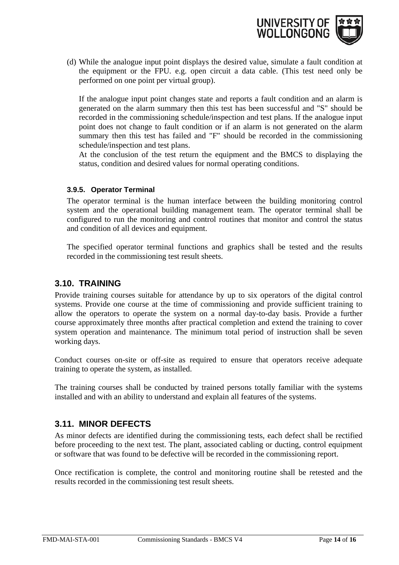

(d) While the analogue input point displays the desired value, simulate a fault condition at the equipment or the FPU. e.g. open circuit a data cable. (This test need only be performed on one point per virtual group).

If the analogue input point changes state and reports a fault condition and an alarm is generated on the alarm summary then this test has been successful and "S" should be recorded in the commissioning schedule/inspection and test plans. If the analogue input point does not change to fault condition or if an alarm is not generated on the alarm summary then this test has failed and "F" should be recorded in the commissioning schedule/inspection and test plans.

At the conclusion of the test return the equipment and the BMCS to displaying the status, condition and desired values for normal operating conditions.

#### <span id="page-13-0"></span>**3.9.5. Operator Terminal**

The operator terminal is the human interface between the building monitoring control system and the operational building management team. The operator terminal shall be configured to run the monitoring and control routines that monitor and control the status and condition of all devices and equipment.

The specified operator terminal functions and graphics shall be tested and the results recorded in the commissioning test result sheets.

### <span id="page-13-1"></span>**3.10. TRAINING**

Provide training courses suitable for attendance by up to six operators of the digital control systems. Provide one course at the time of commissioning and provide sufficient training to allow the operators to operate the system on a normal day-to-day basis. Provide a further course approximately three months after practical completion and extend the training to cover system operation and maintenance. The minimum total period of instruction shall be seven working days.

Conduct courses on-site or off-site as required to ensure that operators receive adequate training to operate the system, as installed.

The training courses shall be conducted by trained persons totally familiar with the systems installed and with an ability to understand and explain all features of the systems.

### <span id="page-13-2"></span>**3.11. MINOR DEFECTS**

As minor defects are identified during the commissioning tests, each defect shall be rectified before proceeding to the next test. The plant, associated cabling or ducting, control equipment or software that was found to be defective will be recorded in the commissioning report.

Once rectification is complete, the control and monitoring routine shall be retested and the results recorded in the commissioning test result sheets.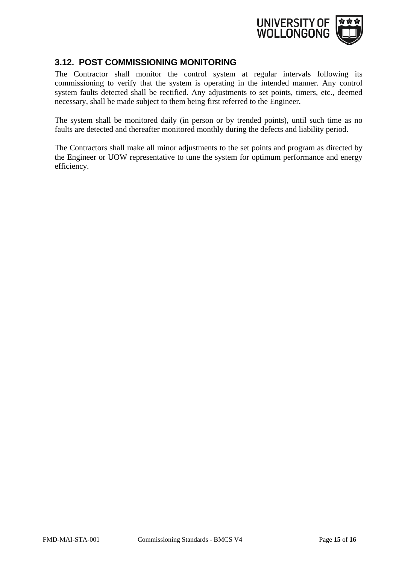

#### <span id="page-14-0"></span>**3.12. POST COMMISSIONING MONITORING**

The Contractor shall monitor the control system at regular intervals following its commissioning to verify that the system is operating in the intended manner. Any control system faults detected shall be rectified. Any adjustments to set points, timers, etc., deemed necessary, shall be made subject to them being first referred to the Engineer.

The system shall be monitored daily (in person or by trended points), until such time as no faults are detected and thereafter monitored monthly during the defects and liability period.

<span id="page-14-1"></span>The Contractors shall make all minor adjustments to the set points and program as directed by the Engineer or UOW representative to tune the system for optimum performance and energy efficiency.